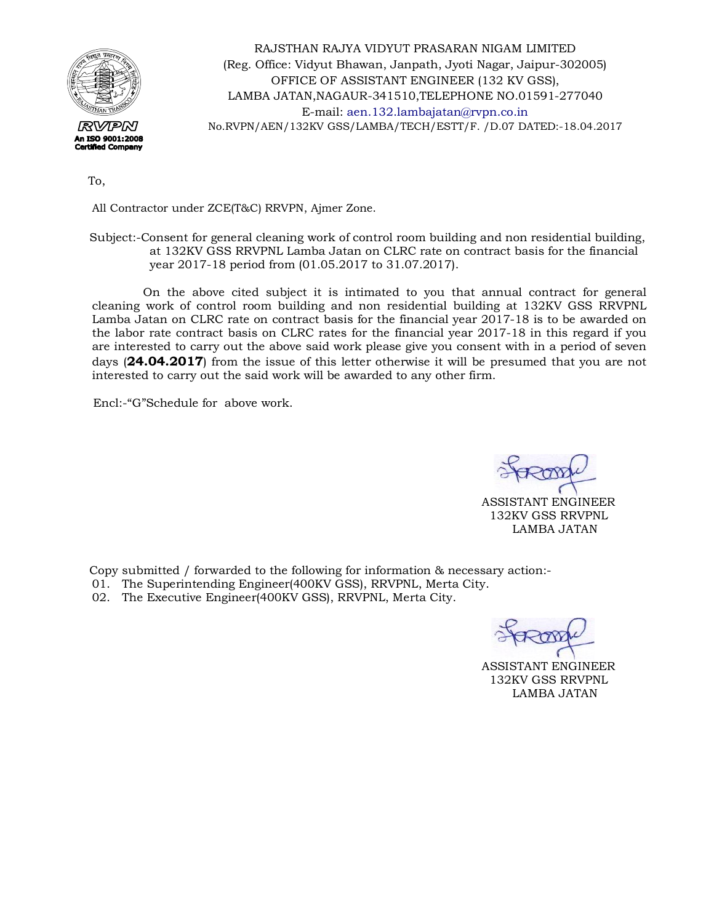

RAJSTHAN RAJYA VIDYUT PRASARAN NIGAM LIMITED (Reg. Office: Vidyut Bhawan, Janpath, Jyoti Nagar, Jaipur-302005) OFFICE OF ASSISTANT ENGINEER (132 KV GSS), LAMBA JATAN,NAGAUR-341510,TELEPHONE NO.01591-277040 E-mail: [aen.132.lambajatan@rvpn.co.in](mailto:aen.132.lambajatan@rvpn.co.in) No.RVPN/AEN/132KV GSS/LAMBA/TECH/ESTT/F. /D.07 DATED:-18.04.2017

To,

All Contractor under ZCE(T&C) RRVPN, Ajmer Zone.

 Subject:-Consent for general cleaning work of control room building and non residential building, at 132KV GSS RRVPNL Lamba Jatan on CLRC rate on contract basis for the financial year 2017-18 period from (01.05.2017 to 31.07.2017).

 On the above cited subject it is intimated to you that annual contract for general cleaning work of control room building and non residential building at 132KV GSS RRVPNL Lamba Jatan on CLRC rate on contract basis for the financial year 2017-18 is to be awarded on the labor rate contract basis on CLRC rates for the financial year 2017-18 in this regard if you are interested to carry out the above said work please give you consent with in a period of seven days (**24.04.2017**) from the issue of this letter otherwise it will be presumed that you are not interested to carry out the said work will be awarded to any other firm.

Encl:-"G"Schedule for above work.

 ASSISTANT ENGINEER 132KV GSS RRVPNL LAMBA JATAN

Copy submitted / forwarded to the following for information & necessary action:-

- 01. The Superintending Engineer(400KV GSS), RRVPNL, Merta City.
- 02. The Executive Engineer(400KV GSS), RRVPNL, Merta City.

 ASSISTANT ENGINEER 132KV GSS RRVPNL LAMBA JATAN